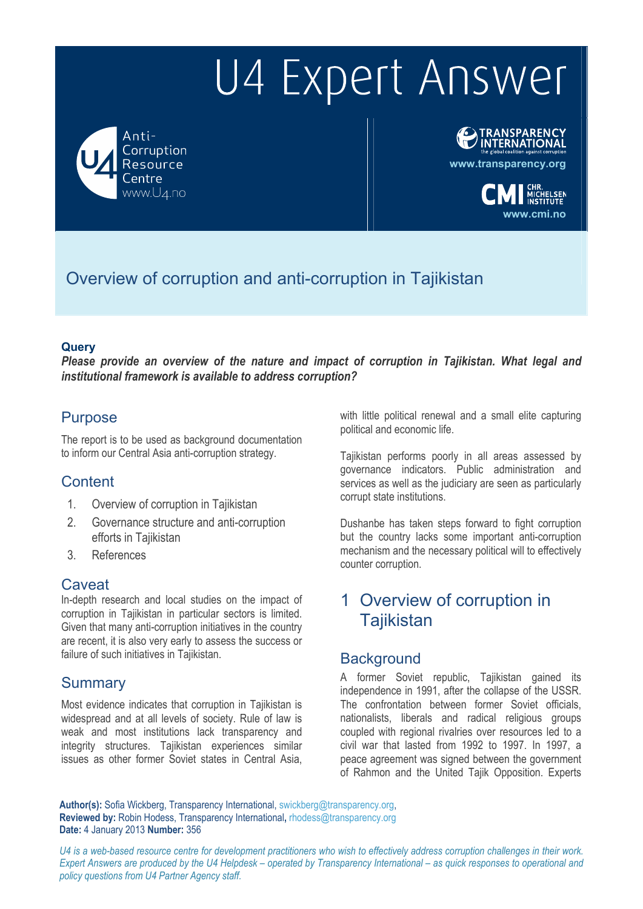Anti-Corruption Resource entre www.U4.no



**www.transparency.org**

**www.cmi.no**

# Overview of corruption and anti-corruption in Tajikistan

#### **Query**

*Please provide an overview of the nature and impact of corruption in Tajikistan. What legal and institutional framework is available to address corruption?* 

### **Purpose**

The report is to be used as background documentation to inform our Central Asia anti-corruption strategy.

### **Content**

- 1. Overview of corruption in Tajikistan
- 2. Governance structure and anti-corruption efforts in Tajikistan
- 3. References

#### Caveat

In-depth research and local studies on the impact of corruption in Tajikistan in particular sectors is limited. Given that many anti-corruption initiatives in the country are recent, it is also very early to assess the success or failure of such initiatives in Tajikistan.

#### **Summary**

Most evidence indicates that corruption in Tajikistan is widespread and at all levels of society. Rule of law is weak and most institutions lack transparency and integrity structures. Tajikistan experiences similar issues as other former Soviet states in Central Asia,

with little political renewal and a small elite capturing political and economic life.

Tajikistan performs poorly in all areas assessed by governance indicators. Public administration and services as well as the judiciary are seen as particularly corrupt state institutions.

Dushanbe has taken steps forward to fight corruption but the country lacks some important anti-corruption mechanism and the necessary political will to effectively counter corruption.

# 1 Overview of corruption in **Tajikistan**

### **Background**

A former Soviet republic, Tajikistan gained its independence in 1991, after the collapse of the USSR. The confrontation between former Soviet officials, nationalists, liberals and radical religious groups coupled with regional rivalries over resources led to a civil war that lasted from 1992 to 1997. In 1997, a peace agreement was signed between the government of Rahmon and the United Tajik Opposition. Experts

Author(s): Sofia Wickberg, Transparency International, swickberg@transparency.org, **Reviewed by:** Robin Hodess, Transparency International**,** rhodess@transparency.org **Date:** 4 January 2013 **Number:** 356

*U4 is a web-based resource centre for development practitioners who wish to effectively address corruption challenges in their work. Expert Answers are produced by the U4 Helpdesk – operated by Transparency International – as quick responses to operational and policy questions from U4 Partner Agency staff.*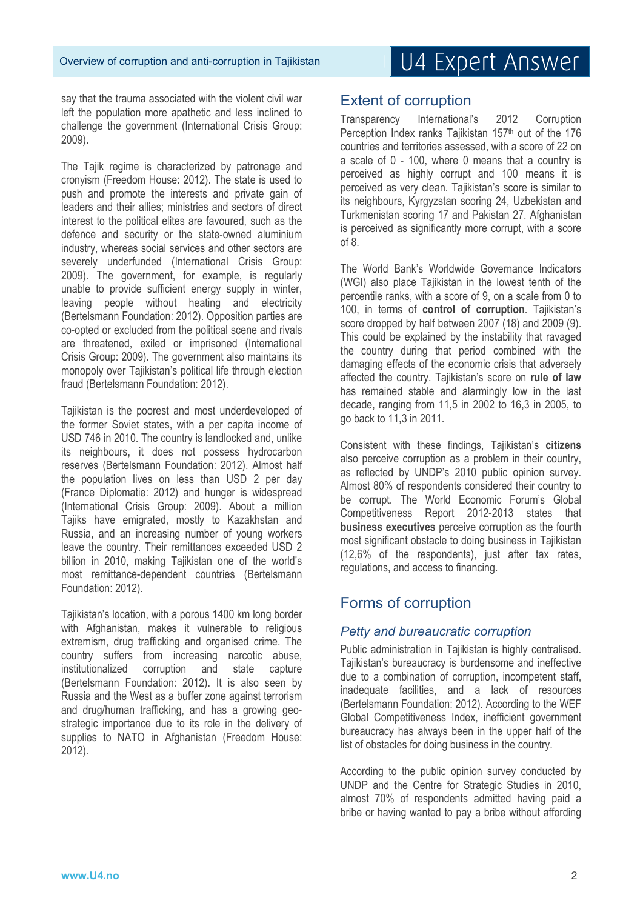say that the trauma associated with the violent civil war left the population more apathetic and less inclined to challenge the government (International Crisis Group: 2009).

The Tajik regime is characterized by patronage and cronyism (Freedom House: 2012). The state is used to push and promote the interests and private gain of leaders and their allies; ministries and sectors of direct interest to the political elites are favoured, such as the defence and security or the state-owned aluminium industry, whereas social services and other sectors are severely underfunded (International Crisis Group: 2009). The government, for example, is regularly unable to provide sufficient energy supply in winter, leaving people without heating and electricity (Bertelsmann Foundation: 2012). Opposition parties are co-opted or excluded from the political scene and rivals are threatened, exiled or imprisoned (International Crisis Group: 2009). The government also maintains its monopoly over Tajikistan's political life through election fraud (Bertelsmann Foundation: 2012).

Tajikistan is the poorest and most underdeveloped of the former Soviet states, with a per capita income of USD 746 in 2010. The country is landlocked and, unlike its neighbours, it does not possess hydrocarbon reserves (Bertelsmann Foundation: 2012). Almost half the population lives on less than USD 2 per day (France Diplomatie: 2012) and hunger is widespread (International Crisis Group: 2009). About a million Tajiks have emigrated, mostly to Kazakhstan and Russia, and an increasing number of young workers leave the country. Their remittances exceeded USD 2 billion in 2010, making Tajikistan one of the world's most remittance-dependent countries (Bertelsmann Foundation: 2012).

Tajikistan's location, with a porous 1400 km long border with Afghanistan, makes it vulnerable to religious extremism, drug trafficking and organised crime. The country suffers from increasing narcotic abuse, institutionalized corruption and state capture (Bertelsmann Foundation: 2012). It is also seen by Russia and the West as a buffer zone against terrorism and drug/human trafficking, and has a growing geostrategic importance due to its role in the delivery of supplies to NATO in Afghanistan (Freedom House: 2012).

### Extent of corruption

Transparency International's 2012 Corruption Perception Index ranks Tajikistan 157<sup>th</sup> out of the 176 countries and territories assessed, with a score of 22 on a scale of 0 - 100, where 0 means that a country is perceived as highly corrupt and 100 means it is perceived as very clean. Tajikistan's score is similar to its neighbours, Kyrgyzstan scoring 24, Uzbekistan and Turkmenistan scoring 17 and Pakistan 27. Afghanistan is perceived as significantly more corrupt, with a score of 8.

The World Bank's Worldwide Governance Indicators (WGI) also place Tajikistan in the lowest tenth of the percentile ranks, with a score of 9, on a scale from 0 to 100, in terms of **control of corruption**. Tajikistan's score dropped by half between 2007 (18) and 2009 (9). This could be explained by the instability that ravaged the country during that period combined with the damaging effects of the economic crisis that adversely affected the country. Tajikistan's score on **rule of law** has remained stable and alarmingly low in the last decade, ranging from 11,5 in 2002 to 16,3 in 2005, to go back to 11,3 in 2011.

Consistent with these findings, Tajikistan's **citizens** also perceive corruption as a problem in their country, as reflected by UNDP's 2010 public opinion survey. Almost 80% of respondents considered their country to be corrupt. The World Economic Forum's Global Competitiveness Report 2012-2013 states that **business executives** perceive corruption as the fourth most significant obstacle to doing business in Tajikistan (12,6% of the respondents), just after tax rates, regulations, and access to financing.

### Forms of corruption

#### *Petty and bureaucratic corruption*

Public administration in Taiikistan is highly centralised. Tajikistan's bureaucracy is burdensome and ineffective due to a combination of corruption, incompetent staff, inadequate facilities, and a lack of resources (Bertelsmann Foundation: 2012). According to the WEF Global Competitiveness Index, inefficient government bureaucracy has always been in the upper half of the list of obstacles for doing business in the country.

According to the public opinion survey conducted by UNDP and the Centre for Strategic Studies in 2010, almost 70% of respondents admitted having paid a bribe or having wanted to pay a bribe without affording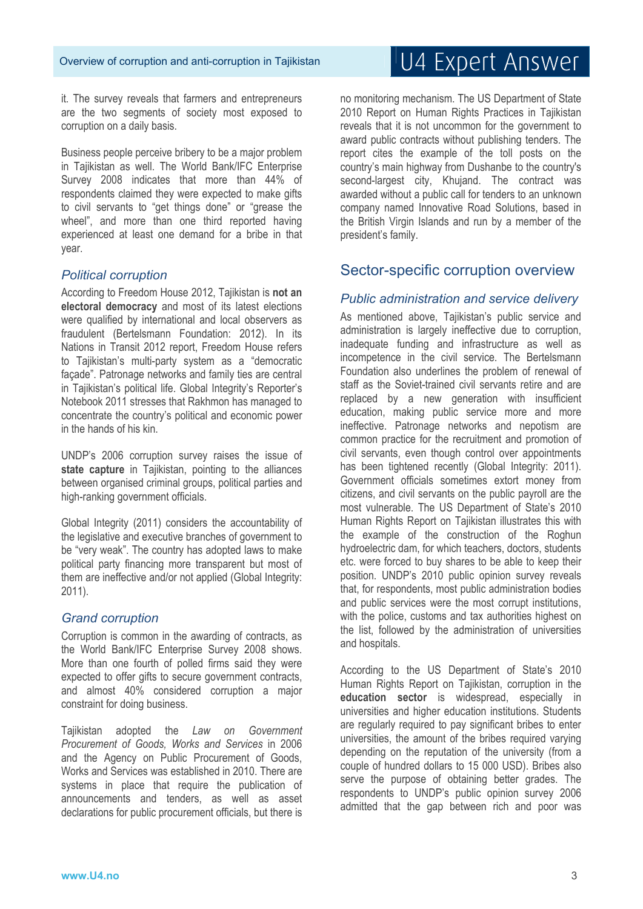it. The survey reveals that farmers and entrepreneurs are the two segments of society most exposed to corruption on a daily basis.

Business people perceive bribery to be a major problem in Tajikistan as well. The World Bank/IFC Enterprise Survey 2008 indicates that more than 44% of respondents claimed they were expected to make gifts to civil servants to "get things done" or "grease the wheel", and more than one third reported having experienced at least one demand for a bribe in that year.

#### *Political corruption*

According to Freedom House 2012, Tajikistan is **not an electoral democracy** and most of its latest elections were qualified by international and local observers as fraudulent (Bertelsmann Foundation: 2012). In its Nations in Transit 2012 report, Freedom House refers to Tajikistan's multi-party system as a "democratic façade". Patronage networks and family ties are central in Tajikistan's political life. Global Integrity's Reporter's Notebook 2011 stresses that Rakhmon has managed to concentrate the country's political and economic power in the hands of his kin.

UNDP's 2006 corruption survey raises the issue of state capture in Tajikistan, pointing to the alliances between organised criminal groups, political parties and high-ranking government officials.

Global Integrity (2011) considers the accountability of the legislative and executive branches of government to be "very weak". The country has adopted laws to make political party financing more transparent but most of them are ineffective and/or not applied (Global Integrity: 2011).

#### *Grand corruption*

Corruption is common in the awarding of contracts, as the World Bank/IFC Enterprise Survey 2008 shows. More than one fourth of polled firms said they were expected to offer gifts to secure government contracts, and almost 40% considered corruption a major constraint for doing business.

Tajikistan adopted the *Law on Government Procurement of Goods, Works and Services* in 2006 and the Agency on Public Procurement of Goods, Works and Services was established in 2010. There are systems in place that require the publication of announcements and tenders, as well as asset declarations for public procurement officials, but there is

no monitoring mechanism. The US Department of State 2010 Report on Human Rights Practices in Tajikistan reveals that it is not uncommon for the government to award public contracts without publishing tenders. The report cites the example of the toll posts on the country's main highway from Dushanbe to the country's second-largest city, Khujand. The contract was awarded without a public call for tenders to an unknown company named Innovative Road Solutions, based in the British Virgin Islands and run by a member of the president's family.

### Sector-specific corruption overview

#### *Public administration and service delivery*

As mentioned above. Taiikistan's public service and administration is largely ineffective due to corruption, inadequate funding and infrastructure as well as incompetence in the civil service. The Bertelsmann Foundation also underlines the problem of renewal of staff as the Soviet-trained civil servants retire and are replaced by a new generation with insufficient education, making public service more and more ineffective. Patronage networks and nepotism are common practice for the recruitment and promotion of civil servants, even though control over appointments has been tightened recently (Global Integrity: 2011). Government officials sometimes extort money from citizens, and civil servants on the public payroll are the most vulnerable. The US Department of State's 2010 Human Rights Report on Tajikistan illustrates this with the example of the construction of the Roghun hydroelectric dam, for which teachers, doctors, students etc. were forced to buy shares to be able to keep their position. UNDP's 2010 public opinion survey reveals that, for respondents, most public administration bodies and public services were the most corrupt institutions, with the police, customs and tax authorities highest on the list, followed by the administration of universities and hospitals.

According to the US Department of State's 2010 Human Rights Report on Tajikistan, corruption in the **education sector** is widespread, especially in universities and higher education institutions. Students are regularly required to pay significant bribes to enter universities, the amount of the bribes required varying depending on the reputation of the university (from a couple of hundred dollars to 15 000 USD). Bribes also serve the purpose of obtaining better grades. The respondents to UNDP's public opinion survey 2006 admitted that the gap between rich and poor was

# U4 Expert Answer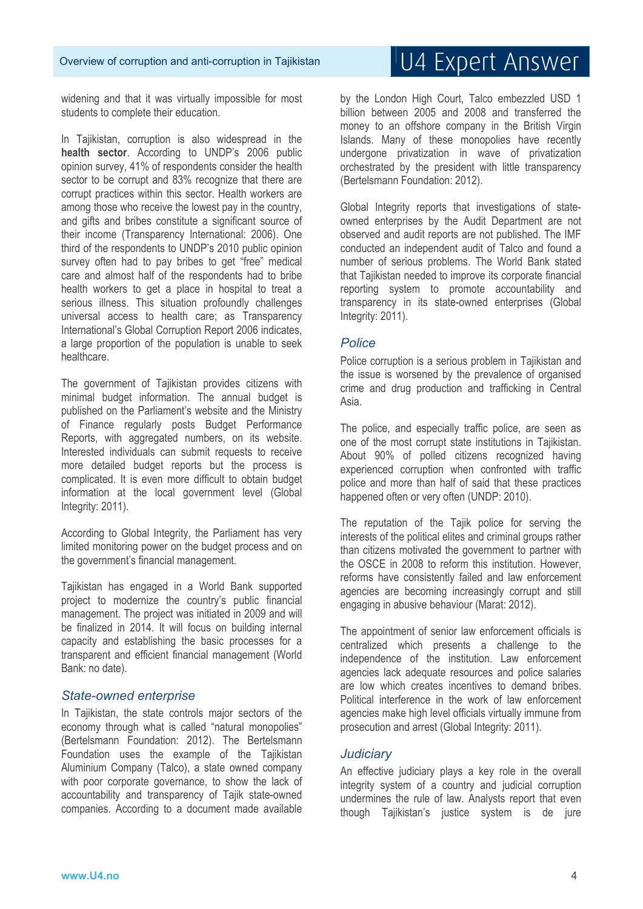widening and that it was virtually impossible for most students to complete their education.

In Tajikistan, corruption is also widespread in the **health sector**. According to UNDP's 2006 public opinion survey, 41% of respondents consider the health sector to be corrupt and 83% recognize that there are corrupt practices within this sector. Health workers are among those who receive the lowest pay in the country, and gifts and bribes constitute a significant source of their income (Transparency International: 2006). One third of the respondents to UNDP's 2010 public opinion survey often had to pay bribes to get "free" medical care and almost half of the respondents had to bribe health workers to get a place in hospital to treat a serious illness. This situation profoundly challenges universal access to health care; as Transparency International's Global Corruption Report 2006 indicates, a large proportion of the population is unable to seek healthcare.

The government of Tajikistan provides citizens with minimal budget information. The annual budget is published on the Parliament's website and the Ministry of Finance regularly posts Budget Performance Reports, with aggregated numbers, on its website. Interested individuals can submit requests to receive more detailed budget reports but the process is complicated. It is even more difficult to obtain budget information at the local government level (Global Integrity: 2011).

According to Global Integrity, the Parliament has very limited monitoring power on the budget process and on the government's financial management.

Tajikistan has engaged in a World Bank supported project to modernize the country's public financial management. The project was initiated in 2009 and will be finalized in 2014. It will focus on building internal capacity and establishing the basic processes for a transparent and efficient financial management (World Bank: no date).

#### *State-owned enterprise*

In Tajikistan, the state controls major sectors of the economy through what is called "natural monopolies" (Bertelsmann Foundation: 2012). The Bertelsmann Foundation uses the example of the Tajikistan Aluminium Company (Talco), a state owned company with poor corporate governance, to show the lack of accountability and transparency of Tajik state-owned companies. According to a document made available

by the London High Court, Talco embezzled USD 1 billion between 2005 and 2008 and transferred the money to an offshore company in the British Virgin Islands. Many of these monopolies have recently undergone privatization in wave of privatization orchestrated by the president with little transparency (Bertelsmann Foundation: 2012).

Global Integrity reports that investigations of stateowned enterprises by the Audit Department are not observed and audit reports are not published. The IMF conducted an independent audit of Talco and found a number of serious problems. The World Bank stated that Tajikistan needed to improve its corporate financial reporting system to promote accountability and transparency in its state-owned enterprises (Global Integrity: 2011).

#### *Police*

Police corruption is a serious problem in Tajikistan and the issue is worsened by the prevalence of organised crime and drug production and trafficking in Central Asia.

The police, and especially traffic police, are seen as one of the most corrupt state institutions in Tajikistan. About 90% of polled citizens recognized having experienced corruption when confronted with traffic police and more than half of said that these practices happened often or very often (UNDP: 2010).

The reputation of the Tajik police for serving the interests of the political elites and criminal groups rather than citizens motivated the government to partner with the OSCE in 2008 to reform this institution. However, reforms have consistently failed and law enforcement agencies are becoming increasingly corrupt and still engaging in abusive behaviour (Marat: 2012).

The appointment of senior law enforcement officials is centralized which presents a challenge to the independence of the institution. Law enforcement agencies lack adequate resources and police salaries are low which creates incentives to demand bribes. Political interference in the work of law enforcement agencies make high level officials virtually immune from prosecution and arrest (Global Integrity: 2011).

#### *Judiciary*

An effective judiciary plays a key role in the overall integrity system of a country and judicial corruption undermines the rule of law. Analysts report that even though Tajikistan's justice system is de jure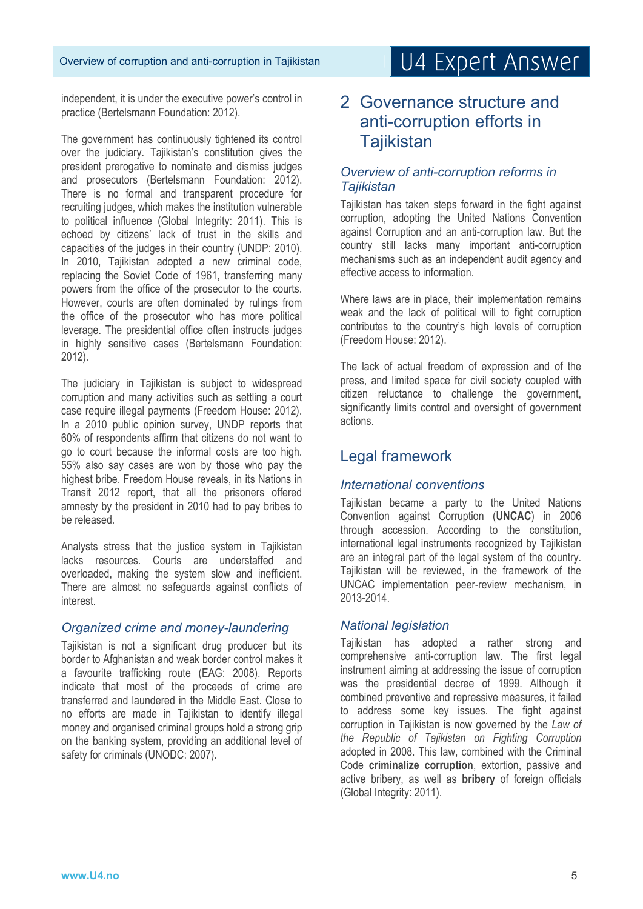independent, it is under the executive power's control in practice (Bertelsmann Foundation: 2012).

The government has continuously tightened its control over the judiciary. Tajikistan's constitution gives the president prerogative to nominate and dismiss judges and prosecutors (Bertelsmann Foundation: 2012). There is no formal and transparent procedure for recruiting judges, which makes the institution vulnerable to political influence (Global Integrity: 2011). This is echoed by citizens' lack of trust in the skills and capacities of the judges in their country (UNDP: 2010). In 2010, Tajikistan adopted a new criminal code, replacing the Soviet Code of 1961, transferring many powers from the office of the prosecutor to the courts. However, courts are often dominated by rulings from the office of the prosecutor who has more political leverage. The presidential office often instructs judges in highly sensitive cases (Bertelsmann Foundation: 2012).

The judiciary in Tajikistan is subject to widespread corruption and many activities such as settling a court case require illegal payments (Freedom House: 2012). In a 2010 public opinion survey, UNDP reports that 60% of respondents affirm that citizens do not want to go to court because the informal costs are too high. 55% also say cases are won by those who pay the highest bribe. Freedom House reveals, in its Nations in Transit 2012 report, that all the prisoners offered amnesty by the president in 2010 had to pay bribes to be released.

Analysts stress that the justice system in Tajikistan lacks resources. Courts are understaffed and overloaded, making the system slow and inefficient. There are almost no safeguards against conflicts of interest.

#### *Organized crime and money-laundering*

Tajikistan is not a significant drug producer but its border to Afghanistan and weak border control makes it a favourite trafficking route (EAG: 2008). Reports indicate that most of the proceeds of crime are transferred and laundered in the Middle East. Close to no efforts are made in Tajikistan to identify illegal money and organised criminal groups hold a strong grip on the banking system, providing an additional level of safety for criminals (UNODC: 2007).

## 2 Governance structure and anti-corruption efforts in **Tajikistan**

#### *Overview of anti-corruption reforms in Tajikistan*

Tajikistan has taken steps forward in the fight against corruption, adopting the United Nations Convention against Corruption and an anti-corruption law. But the country still lacks many important anti-corruption mechanisms such as an independent audit agency and effective access to information.

Where laws are in place, their implementation remains weak and the lack of political will to fight corruption contributes to the country's high levels of corruption (Freedom House: 2012).

The lack of actual freedom of expression and of the press, and limited space for civil society coupled with citizen reluctance to challenge the government, significantly limits control and oversight of government actions.

### Legal framework

#### *International conventions*

Tajikistan became a party to the United Nations Convention against Corruption (**UNCAC**) in 2006 through accession. According to the constitution, international legal instruments recognized by Tajikistan are an integral part of the legal system of the country. Tajikistan will be reviewed, in the framework of the UNCAC implementation peer-review mechanism, in 2013-2014.

#### *National legislation*

Tajikistan has adopted a rather strong and comprehensive anti-corruption law. The first legal instrument aiming at addressing the issue of corruption was the presidential decree of 1999. Although it combined preventive and repressive measures, it failed to address some key issues. The fight against corruption in Tajikistan is now governed by the *Law of the Republic of Tajikistan on Fighting Corruption* adopted in 2008. This law, combined with the Criminal Code **criminalize corruption**, extortion, passive and active bribery, as well as **bribery** of foreign officials (Global Integrity: 2011).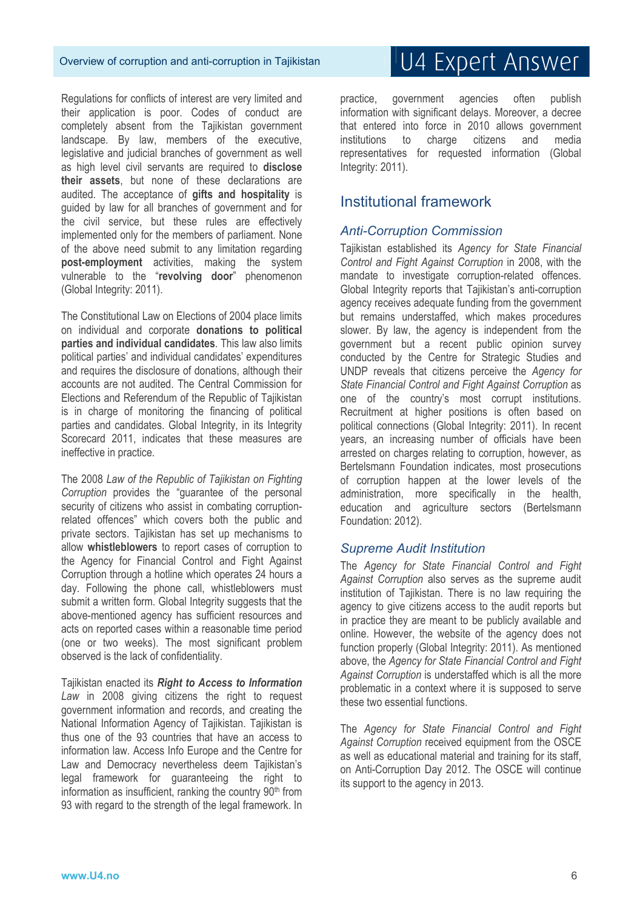#### Overview of corruption and anti-corruption in Tajikistan

Regulations for conflicts of interest are very limited and their application is poor. Codes of conduct are completely absent from the Tajikistan government landscape. By law, members of the executive, legislative and judicial branches of government as well as high level civil servants are required to **disclose their assets**, but none of these declarations are audited. The acceptance of **gifts and hospitality** is guided by law for all branches of government and for the civil service, but these rules are effectively implemented only for the members of parliament. None of the above need submit to any limitation regarding **post-employment** activities, making the system vulnerable to the "**revolving door**" phenomenon (Global Integrity: 2011).

The Constitutional Law on Elections of 2004 place limits on individual and corporate **donations to political parties and individual candidates**. This law also limits political parties' and individual candidates' expenditures and requires the disclosure of donations, although their accounts are not audited. The Central Commission for Elections and Referendum of the Republic of Tajikistan is in charge of monitoring the financing of political parties and candidates. Global Integrity, in its Integrity Scorecard 2011, indicates that these measures are ineffective in practice.

The 2008 *Law of the Republic of Tajikistan on Fighting Corruption* provides the "guarantee of the personal security of citizens who assist in combating corruptionrelated offences" which covers both the public and private sectors. Tajikistan has set up mechanisms to allow **whistleblowers** to report cases of corruption to the Agency for Financial Control and Fight Against Corruption through a hotline which operates 24 hours a day. Following the phone call, whistleblowers must submit a written form. Global Integrity suggests that the above-mentioned agency has sufficient resources and acts on reported cases within a reasonable time period (one or two weeks). The most significant problem observed is the lack of confidentiality.

Tajikistan enacted its *Right to Access to Information* Law in 2008 giving citizens the right to request government information and records, and creating the National Information Agency of Tajikistan. Tajikistan is thus one of the 93 countries that have an access to information law. Access Info Europe and the Centre for Law and Democracy nevertheless deem Tajikistan's legal framework for guaranteeing the right to information as insufficient, ranking the country  $90<sup>th</sup>$  from 93 with regard to the strength of the legal framework. In

# U4 Expert Answer

practice, government agencies often publish information with significant delays. Moreover, a decree that entered into force in 2010 allows government institutions to charge citizens and media representatives for requested information (Global Integrity: 2011).

#### Institutional framework

#### *Anti-Corruption Commission*

Tajikistan established its *Agency for State Financial Control and Fight Against Corruption* in 2008, with the mandate to investigate corruption-related offences. Global Integrity reports that Tajikistan's anti-corruption agency receives adequate funding from the government but remains understaffed, which makes procedures slower. By law, the agency is independent from the government but a recent public opinion survey conducted by the Centre for Strategic Studies and UNDP reveals that citizens perceive the *Agency for State Financial Control and Fight Against Corruption* as one of the country's most corrupt institutions. Recruitment at higher positions is often based on political connections (Global Integrity: 2011). In recent years, an increasing number of officials have been arrested on charges relating to corruption, however, as Bertelsmann Foundation indicates, most prosecutions of corruption happen at the lower levels of the administration, more specifically in the health, education and agriculture sectors (Bertelsmann Foundation: 2012).

#### *Supreme Audit Institution*

The *Agency for State Financial Control and Fight Against Corruption* also serves as the supreme audit institution of Tajikistan. There is no law requiring the agency to give citizens access to the audit reports but in practice they are meant to be publicly available and online. However, the website of the agency does not function properly (Global Integrity: 2011). As mentioned above, the *Agency for State Financial Control and Fight Against Corruption* is understaffed which is all the more problematic in a context where it is supposed to serve these two essential functions.

The *Agency for State Financial Control and Fight Against Corruption* received equipment from the OSCE as well as educational material and training for its staff, on Anti-Corruption Day 2012. The OSCE will continue its support to the agency in 2013.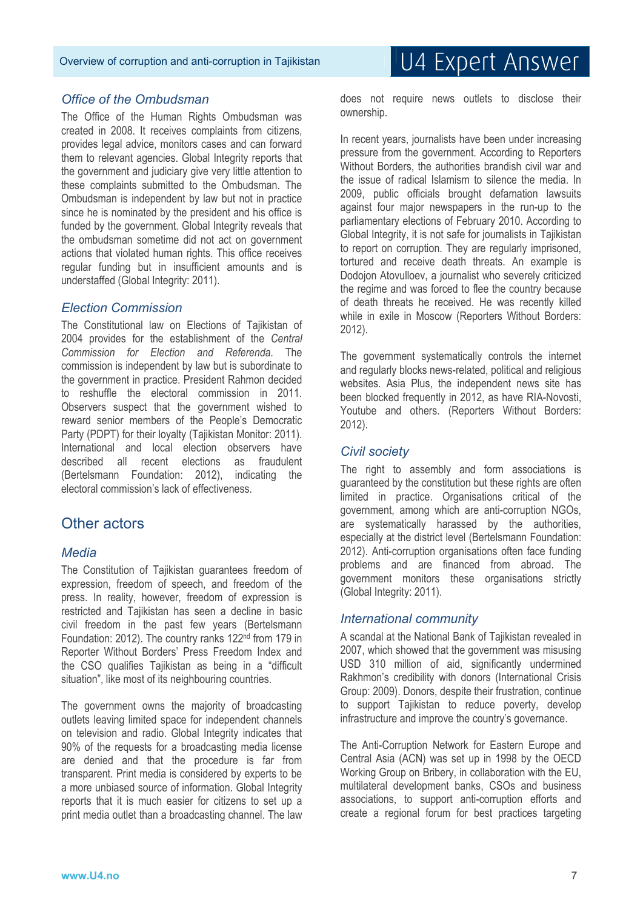#### *Office of the Ombudsman*

The Office of the Human Rights Ombudsman was created in 2008. It receives complaints from citizens, provides legal advice, monitors cases and can forward them to relevant agencies. Global Integrity reports that the government and judiciary give very little attention to these complaints submitted to the Ombudsman. The Ombudsman is independent by law but not in practice since he is nominated by the president and his office is funded by the government. Global Integrity reveals that the ombudsman sometime did not act on government actions that violated human rights. This office receives regular funding but in insufficient amounts and is understaffed (Global Integrity: 2011).

#### *Election Commission*

The Constitutional law on Elections of Tajikistan of 2004 provides for the establishment of the *Central Commission for Election and Referenda*. The commission is independent by law but is subordinate to the government in practice. President Rahmon decided to reshuffle the electoral commission in 2011. Observers suspect that the government wished to reward senior members of the People's Democratic Party (PDPT) for their loyalty (Tajikistan Monitor: 2011). International and local election observers have described all recent elections as fraudulent (Bertelsmann Foundation: 2012), indicating the electoral commission's lack of effectiveness.

#### Other actors

#### *Media*

The Constitution of Tajikistan guarantees freedom of expression, freedom of speech, and freedom of the press. In reality, however, freedom of expression is restricted and Tajikistan has seen a decline in basic civil freedom in the past few years (Bertelsmann Foundation: 2012). The country ranks 122nd from 179 in Reporter Without Borders' Press Freedom Index and the CSO qualifies Tajikistan as being in a "difficult situation", like most of its neighbouring countries.

The government owns the majority of broadcasting outlets leaving limited space for independent channels on television and radio. Global Integrity indicates that 90% of the requests for a broadcasting media license are denied and that the procedure is far from transparent. Print media is considered by experts to be a more unbiased source of information. Global Integrity reports that it is much easier for citizens to set up a print media outlet than a broadcasting channel. The law

does not require news outlets to disclose their ownership.

In recent years, journalists have been under increasing pressure from the government. According to Reporters Without Borders, the authorities brandish civil war and the issue of radical Islamism to silence the media. In 2009, public officials brought defamation lawsuits against four major newspapers in the run-up to the parliamentary elections of February 2010. According to Global Integrity, it is not safe for journalists in Tajikistan to report on corruption. They are regularly imprisoned, tortured and receive death threats. An example is Dodojon Atovulloev, a journalist who severely criticized the regime and was forced to flee the country because of death threats he received. He was recently killed while in exile in Moscow (Reporters Without Borders: 2012).

The government systematically controls the internet and regularly blocks news-related, political and religious websites. Asia Plus, the independent news site has been blocked frequently in 2012, as have RIA-Novosti, Youtube and others. (Reporters Without Borders: 2012).

#### *Civil society*

The right to assembly and form associations is guaranteed by the constitution but these rights are often limited in practice. Organisations critical of the government, among which are anti-corruption NGOs, are systematically harassed by the authorities, especially at the district level (Bertelsmann Foundation: 2012). Anti-corruption organisations often face funding problems and are financed from abroad. The government monitors these organisations strictly (Global Integrity: 2011).

#### *International community*

A scandal at the National Bank of Tajikistan revealed in 2007, which showed that the government was misusing USD 310 million of aid, significantly undermined Rakhmon's credibility with donors (International Crisis Group: 2009). Donors, despite their frustration, continue to support Tajikistan to reduce poverty, develop infrastructure and improve the country's governance.

The Anti-Corruption Network for Eastern Europe and Central Asia (ACN) was set up in 1998 by the OECD Working Group on Bribery, in collaboration with the EU, multilateral development banks, CSOs and business associations, to support anti-corruption efforts and create a regional forum for best practices targeting

# U4 Expert Answer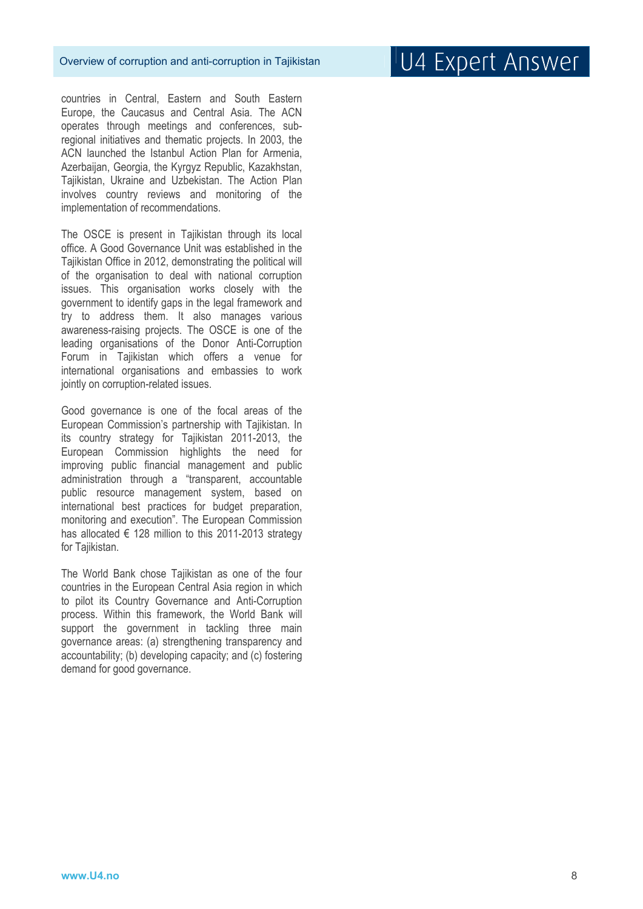countries in Central, Eastern and South Eastern Europe, the Caucasus and Central Asia. The ACN operates through meetings and conferences, subregional initiatives and thematic projects. In 2003, the ACN launched the Istanbul Action Plan for Armenia, Azerbaijan, Georgia, the Kyrgyz Republic, Kazakhstan, Tajikistan, Ukraine and Uzbekistan. The Action Plan involves country reviews and monitoring of the implementation of recommendations.

The OSCE is present in Tajikistan through its local office. A Good Governance Unit was established in the Tajikistan Office in 2012, demonstrating the political will of the organisation to deal with national corruption issues. This organisation works closely with the government to identify gaps in the legal framework and try to address them. It also manages various awareness-raising projects. The OSCE is one of the leading organisations of the Donor Anti-Corruption Forum in Tajikistan which offers a venue for international organisations and embassies to work jointly on corruption-related issues.

Good governance is one of the focal areas of the European Commission's partnership with Tajikistan. In its country strategy for Tajikistan 2011-2013, the European Commission highlights the need for improving public financial management and public administration through a "transparent, accountable public resource management system, based on international best practices for budget preparation, monitoring and execution". The European Commission has allocated  $\epsilon$  128 million to this 2011-2013 strategy for Tajikistan.

The World Bank chose Tajikistan as one of the four countries in the European Central Asia region in which to pilot its Country Governance and Anti-Corruption process. Within this framework, the World Bank will support the government in tackling three main governance areas: (a) strengthening transparency and accountability; (b) developing capacity; and (c) fostering demand for good governance.